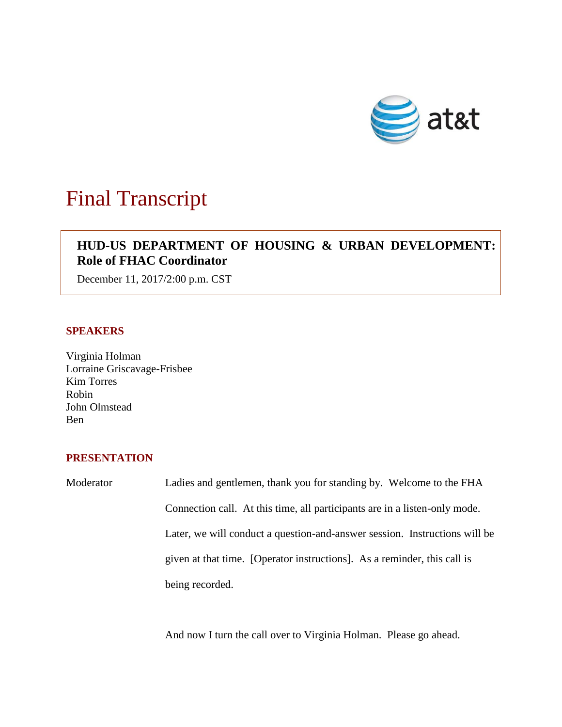

# Final Transcript

## **HUD-US DEPARTMENT OF HOUSING & URBAN DEVELOPMENT: Role of FHAC Coordinator**

December 11, 2017/2:00 p.m. CST

### **SPEAKERS**

Virginia Holman Lorraine Griscavage-Frisbee Kim Torres Robin John Olmstead Ben

#### **PRESENTATION**

Moderator Ladies and gentlemen, thank you for standing by. Welcome to the FHA Connection call. At this time, all participants are in a listen-only mode. Later, we will conduct a question-and-answer session. Instructions will be given at that time. [Operator instructions]. As a reminder, this call is being recorded.

And now I turn the call over to Virginia Holman. Please go ahead.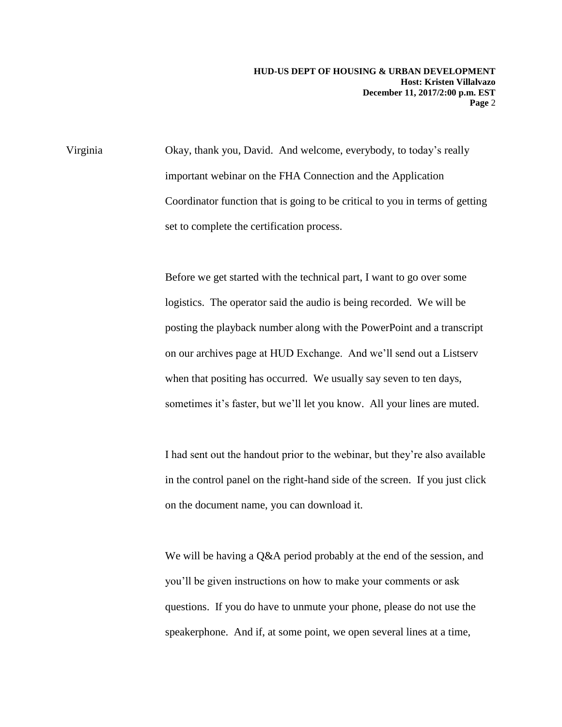Virginia Okay, thank you, David. And welcome, everybody, to today's really important webinar on the FHA Connection and the Application Coordinator function that is going to be critical to you in terms of getting set to complete the certification process.

> Before we get started with the technical part, I want to go over some logistics. The operator said the audio is being recorded. We will be posting the playback number along with the PowerPoint and a transcript on our archives page at HUD Exchange. And we'll send out a Listserv when that positing has occurred. We usually say seven to ten days, sometimes it's faster, but we'll let you know. All your lines are muted.

> I had sent out the handout prior to the webinar, but they're also available in the control panel on the right-hand side of the screen. If you just click on the document name, you can download it.

> We will be having a Q&A period probably at the end of the session, and you'll be given instructions on how to make your comments or ask questions. If you do have to unmute your phone, please do not use the speakerphone. And if, at some point, we open several lines at a time,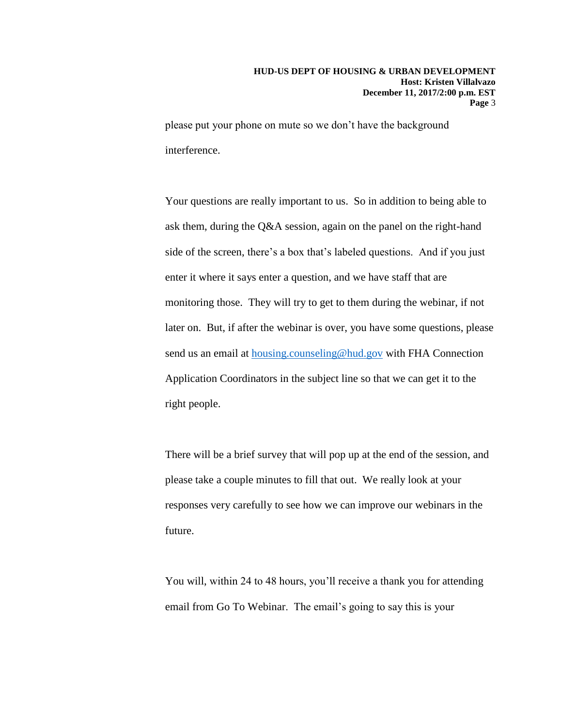please put your phone on mute so we don't have the background interference.

Your questions are really important to us. So in addition to being able to ask them, during the Q&A session, again on the panel on the right-hand side of the screen, there's a box that's labeled questions. And if you just enter it where it says enter a question, and we have staff that are monitoring those. They will try to get to them during the webinar, if not later on. But, if after the webinar is over, you have some questions, please send us an email at [housing.counseling@hud.gov](mailto:housing.counseling@hud.gov) with FHA Connection Application Coordinators in the subject line so that we can get it to the right people.

There will be a brief survey that will pop up at the end of the session, and please take a couple minutes to fill that out. We really look at your responses very carefully to see how we can improve our webinars in the future.

You will, within 24 to 48 hours, you'll receive a thank you for attending email from Go To Webinar. The email's going to say this is your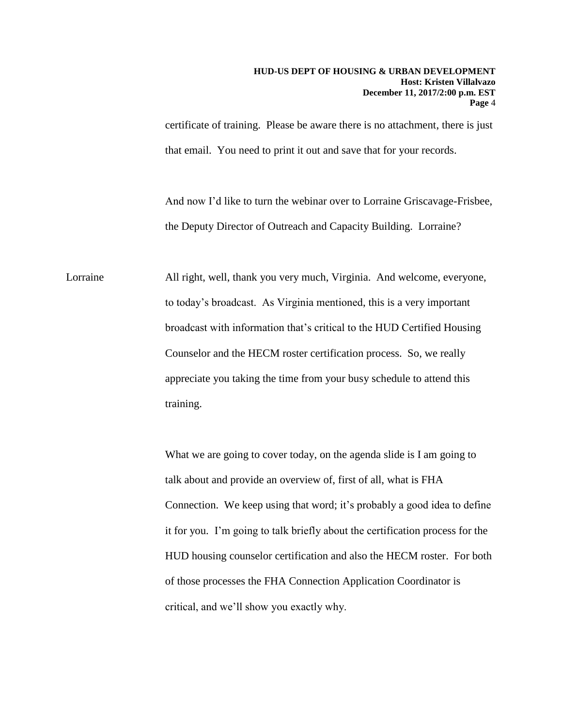certificate of training. Please be aware there is no attachment, there is just that email. You need to print it out and save that for your records.

And now I'd like to turn the webinar over to Lorraine Griscavage-Frisbee, the Deputy Director of Outreach and Capacity Building. Lorraine?

Lorraine All right, well, thank you very much, Virginia. And welcome, everyone, to today's broadcast. As Virginia mentioned, this is a very important broadcast with information that's critical to the HUD Certified Housing Counselor and the HECM roster certification process. So, we really appreciate you taking the time from your busy schedule to attend this training.

> What we are going to cover today, on the agenda slide is I am going to talk about and provide an overview of, first of all, what is FHA Connection. We keep using that word; it's probably a good idea to define it for you. I'm going to talk briefly about the certification process for the HUD housing counselor certification and also the HECM roster. For both of those processes the FHA Connection Application Coordinator is critical, and we'll show you exactly why.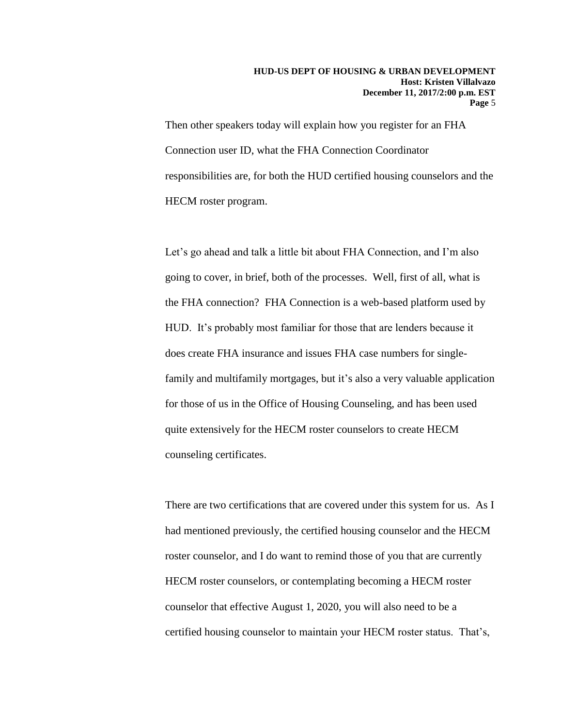Then other speakers today will explain how you register for an FHA Connection user ID, what the FHA Connection Coordinator responsibilities are, for both the HUD certified housing counselors and the HECM roster program.

Let's go ahead and talk a little bit about FHA Connection, and I'm also going to cover, in brief, both of the processes. Well, first of all, what is the FHA connection? FHA Connection is a web-based platform used by HUD. It's probably most familiar for those that are lenders because it does create FHA insurance and issues FHA case numbers for singlefamily and multifamily mortgages, but it's also a very valuable application for those of us in the Office of Housing Counseling, and has been used quite extensively for the HECM roster counselors to create HECM counseling certificates.

There are two certifications that are covered under this system for us. As I had mentioned previously, the certified housing counselor and the HECM roster counselor, and I do want to remind those of you that are currently HECM roster counselors, or contemplating becoming a HECM roster counselor that effective August 1, 2020, you will also need to be a certified housing counselor to maintain your HECM roster status. That's,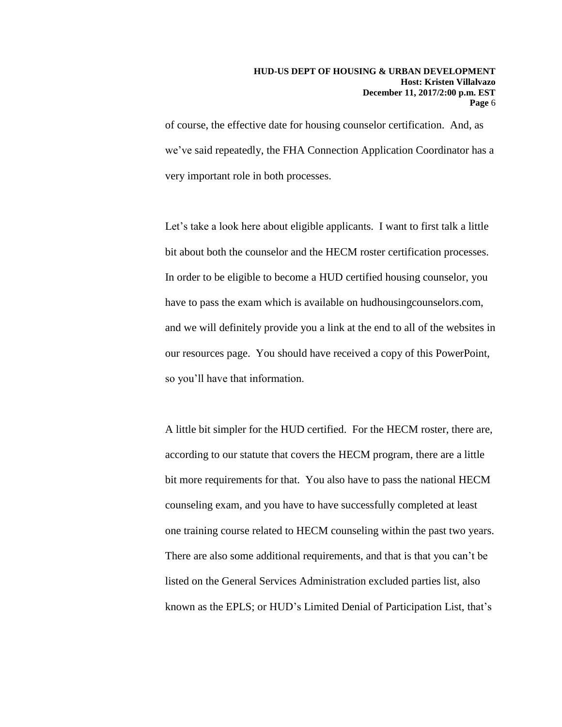of course, the effective date for housing counselor certification. And, as we've said repeatedly, the FHA Connection Application Coordinator has a very important role in both processes.

Let's take a look here about eligible applicants. I want to first talk a little bit about both the counselor and the HECM roster certification processes. In order to be eligible to become a HUD certified housing counselor, you have to pass the exam which is available on hudhousingcounselors.com, and we will definitely provide you a link at the end to all of the websites in our resources page. You should have received a copy of this PowerPoint, so you'll have that information.

A little bit simpler for the HUD certified. For the HECM roster, there are, according to our statute that covers the HECM program, there are a little bit more requirements for that. You also have to pass the national HECM counseling exam, and you have to have successfully completed at least one training course related to HECM counseling within the past two years. There are also some additional requirements, and that is that you can't be listed on the General Services Administration excluded parties list, also known as the EPLS; or HUD's Limited Denial of Participation List, that's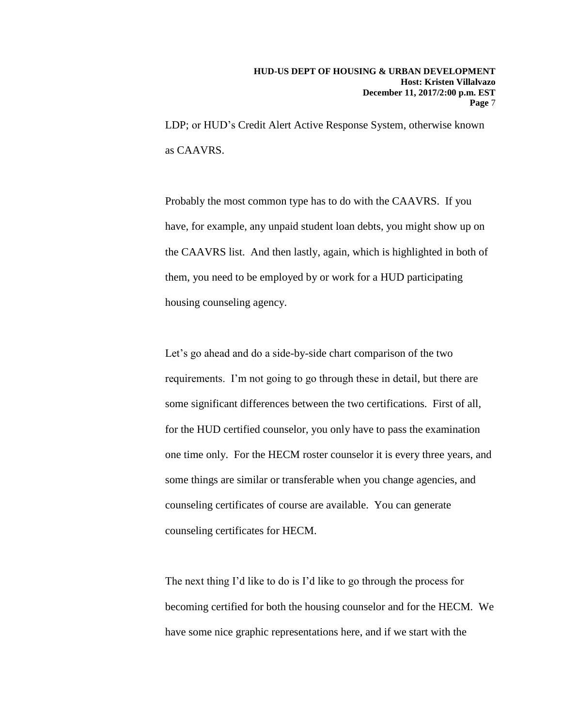LDP; or HUD's Credit Alert Active Response System, otherwise known as CAAVRS.

Probably the most common type has to do with the CAAVRS. If you have, for example, any unpaid student loan debts, you might show up on the CAAVRS list. And then lastly, again, which is highlighted in both of them, you need to be employed by or work for a HUD participating housing counseling agency.

Let's go ahead and do a side-by-side chart comparison of the two requirements. I'm not going to go through these in detail, but there are some significant differences between the two certifications. First of all, for the HUD certified counselor, you only have to pass the examination one time only. For the HECM roster counselor it is every three years, and some things are similar or transferable when you change agencies, and counseling certificates of course are available. You can generate counseling certificates for HECM.

The next thing I'd like to do is I'd like to go through the process for becoming certified for both the housing counselor and for the HECM. We have some nice graphic representations here, and if we start with the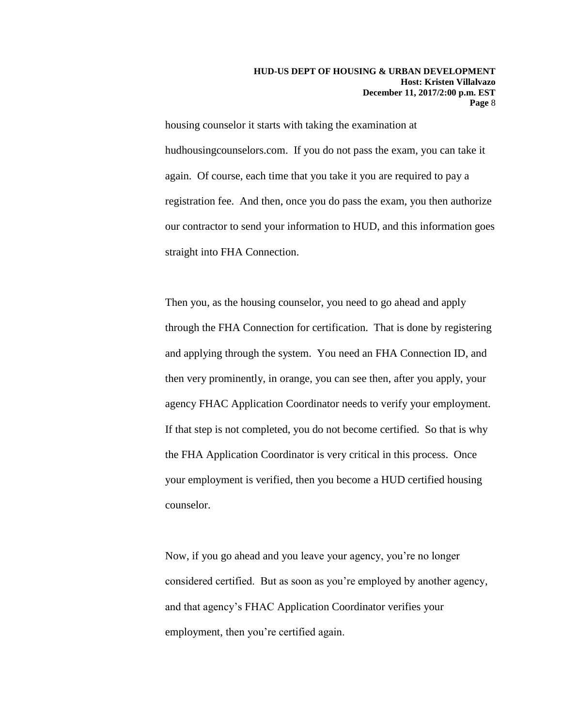housing counselor it starts with taking the examination at hudhousingcounselors.com. If you do not pass the exam, you can take it again. Of course, each time that you take it you are required to pay a registration fee. And then, once you do pass the exam, you then authorize our contractor to send your information to HUD, and this information goes straight into FHA Connection.

Then you, as the housing counselor, you need to go ahead and apply through the FHA Connection for certification. That is done by registering and applying through the system. You need an FHA Connection ID, and then very prominently, in orange, you can see then, after you apply, your agency FHAC Application Coordinator needs to verify your employment. If that step is not completed, you do not become certified. So that is why the FHA Application Coordinator is very critical in this process. Once your employment is verified, then you become a HUD certified housing counselor.

Now, if you go ahead and you leave your agency, you're no longer considered certified. But as soon as you're employed by another agency, and that agency's FHAC Application Coordinator verifies your employment, then you're certified again.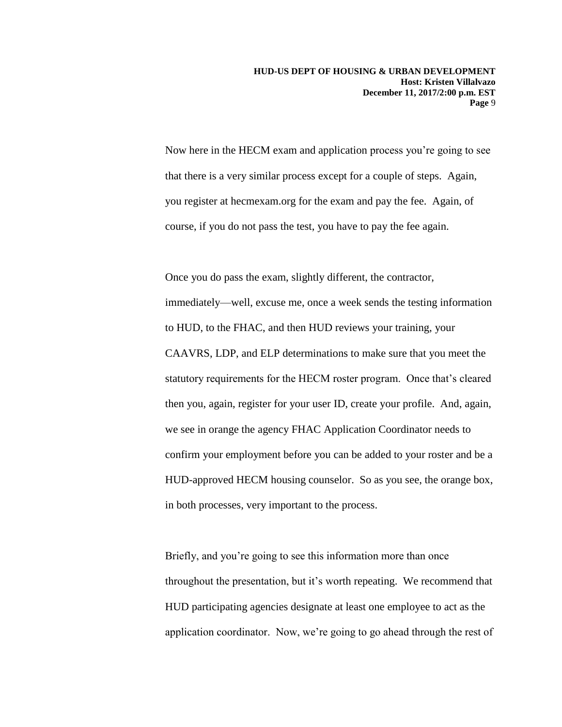Now here in the HECM exam and application process you're going to see that there is a very similar process except for a couple of steps. Again, you register at hecmexam.org for the exam and pay the fee. Again, of course, if you do not pass the test, you have to pay the fee again.

Once you do pass the exam, slightly different, the contractor, immediately—well, excuse me, once a week sends the testing information to HUD, to the FHAC, and then HUD reviews your training, your CAAVRS, LDP, and ELP determinations to make sure that you meet the statutory requirements for the HECM roster program. Once that's cleared then you, again, register for your user ID, create your profile. And, again, we see in orange the agency FHAC Application Coordinator needs to confirm your employment before you can be added to your roster and be a HUD-approved HECM housing counselor. So as you see, the orange box, in both processes, very important to the process.

Briefly, and you're going to see this information more than once throughout the presentation, but it's worth repeating. We recommend that HUD participating agencies designate at least one employee to act as the application coordinator. Now, we're going to go ahead through the rest of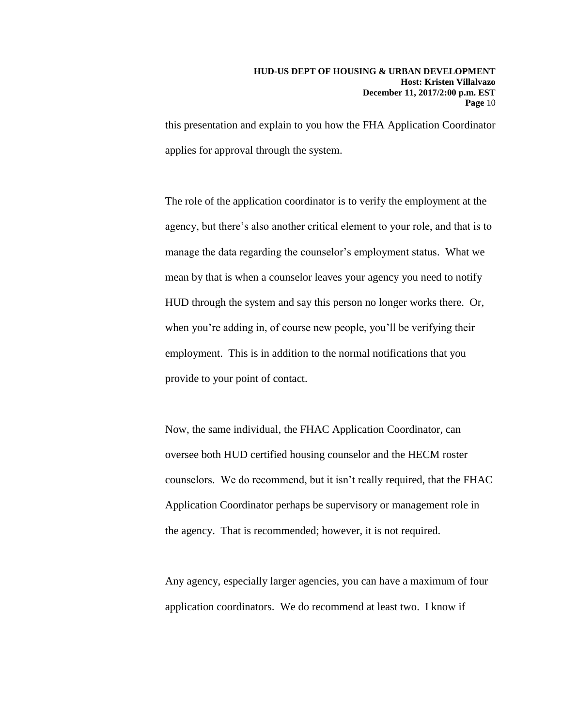this presentation and explain to you how the FHA Application Coordinator applies for approval through the system.

The role of the application coordinator is to verify the employment at the agency, but there's also another critical element to your role, and that is to manage the data regarding the counselor's employment status. What we mean by that is when a counselor leaves your agency you need to notify HUD through the system and say this person no longer works there. Or, when you're adding in, of course new people, you'll be verifying their employment. This is in addition to the normal notifications that you provide to your point of contact.

Now, the same individual, the FHAC Application Coordinator, can oversee both HUD certified housing counselor and the HECM roster counselors. We do recommend, but it isn't really required, that the FHAC Application Coordinator perhaps be supervisory or management role in the agency. That is recommended; however, it is not required.

Any agency, especially larger agencies, you can have a maximum of four application coordinators. We do recommend at least two. I know if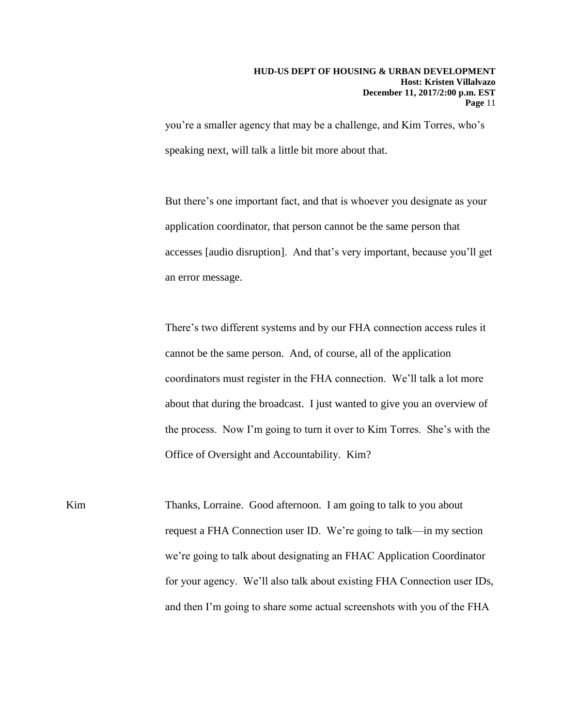you're a smaller agency that may be a challenge, and Kim Torres, who's speaking next, will talk a little bit more about that.

But there's one important fact, and that is whoever you designate as your application coordinator, that person cannot be the same person that accesses [audio disruption]. And that's very important, because you'll get an error message.

There's two different systems and by our FHA connection access rules it cannot be the same person. And, of course, all of the application coordinators must register in the FHA connection. We'll talk a lot more about that during the broadcast. I just wanted to give you an overview of the process. Now I'm going to turn it over to Kim Torres. She's with the Office of Oversight and Accountability. Kim?

Kim Thanks, Lorraine. Good afternoon. I am going to talk to you about request a FHA Connection user ID. We're going to talk—in my section we're going to talk about designating an FHAC Application Coordinator for your agency. We'll also talk about existing FHA Connection user IDs, and then I'm going to share some actual screenshots with you of the FHA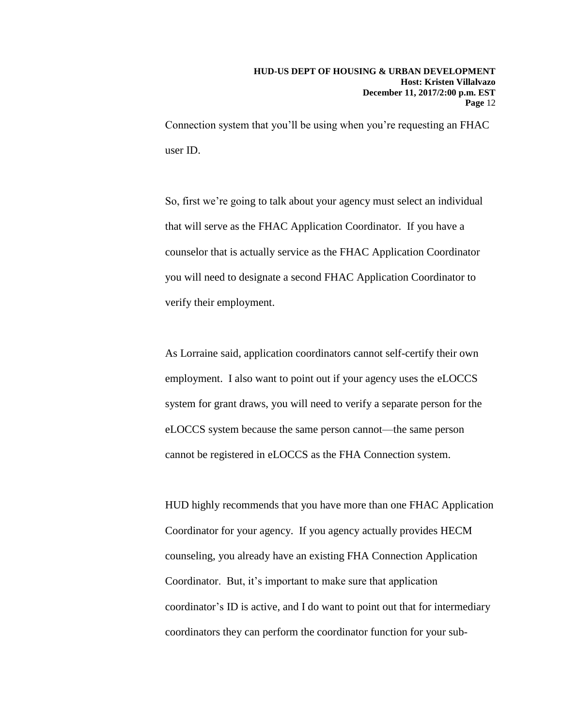Connection system that you'll be using when you're requesting an FHAC user ID.

So, first we're going to talk about your agency must select an individual that will serve as the FHAC Application Coordinator. If you have a counselor that is actually service as the FHAC Application Coordinator you will need to designate a second FHAC Application Coordinator to verify their employment.

As Lorraine said, application coordinators cannot self-certify their own employment. I also want to point out if your agency uses the eLOCCS system for grant draws, you will need to verify a separate person for the eLOCCS system because the same person cannot—the same person cannot be registered in eLOCCS as the FHA Connection system.

HUD highly recommends that you have more than one FHAC Application Coordinator for your agency. If you agency actually provides HECM counseling, you already have an existing FHA Connection Application Coordinator. But, it's important to make sure that application coordinator's ID is active, and I do want to point out that for intermediary coordinators they can perform the coordinator function for your sub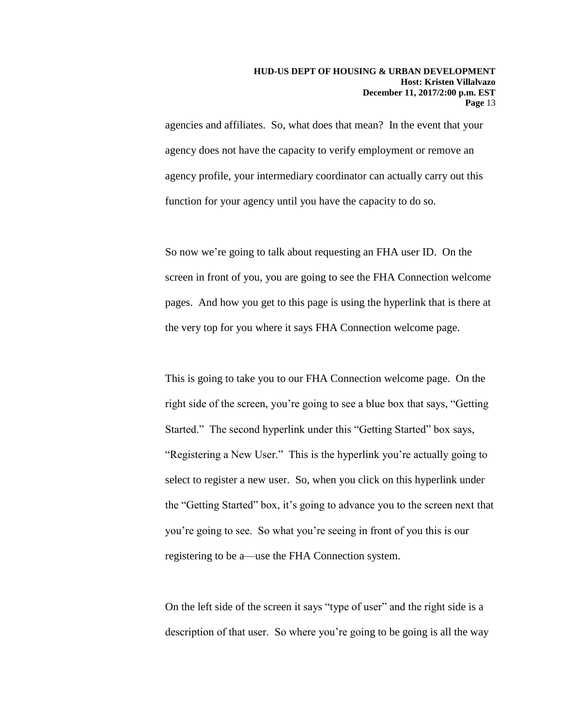agencies and affiliates. So, what does that mean? In the event that your agency does not have the capacity to verify employment or remove an agency profile, your intermediary coordinator can actually carry out this function for your agency until you have the capacity to do so.

So now we're going to talk about requesting an FHA user ID. On the screen in front of you, you are going to see the FHA Connection welcome pages. And how you get to this page is using the hyperlink that is there at the very top for you where it says FHA Connection welcome page.

This is going to take you to our FHA Connection welcome page. On the right side of the screen, you're going to see a blue box that says, "Getting Started." The second hyperlink under this "Getting Started" box says, "Registering a New User." This is the hyperlink you're actually going to select to register a new user. So, when you click on this hyperlink under the "Getting Started" box, it's going to advance you to the screen next that you're going to see. So what you're seeing in front of you this is our registering to be a—use the FHA Connection system.

On the left side of the screen it says "type of user" and the right side is a description of that user. So where you're going to be going is all the way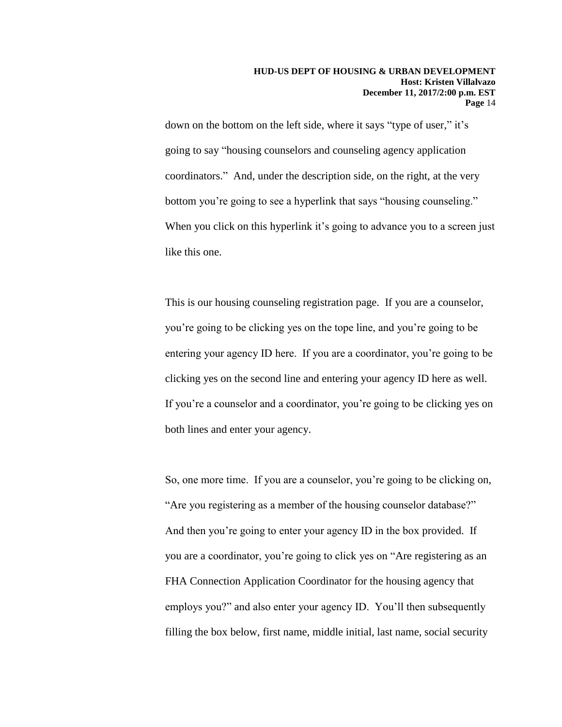down on the bottom on the left side, where it says "type of user," it's going to say "housing counselors and counseling agency application coordinators." And, under the description side, on the right, at the very bottom you're going to see a hyperlink that says "housing counseling." When you click on this hyperlink it's going to advance you to a screen just like this one.

This is our housing counseling registration page. If you are a counselor, you're going to be clicking yes on the tope line, and you're going to be entering your agency ID here. If you are a coordinator, you're going to be clicking yes on the second line and entering your agency ID here as well. If you're a counselor and a coordinator, you're going to be clicking yes on both lines and enter your agency.

So, one more time. If you are a counselor, you're going to be clicking on, "Are you registering as a member of the housing counselor database?" And then you're going to enter your agency ID in the box provided. If you are a coordinator, you're going to click yes on "Are registering as an FHA Connection Application Coordinator for the housing agency that employs you?" and also enter your agency ID. You'll then subsequently filling the box below, first name, middle initial, last name, social security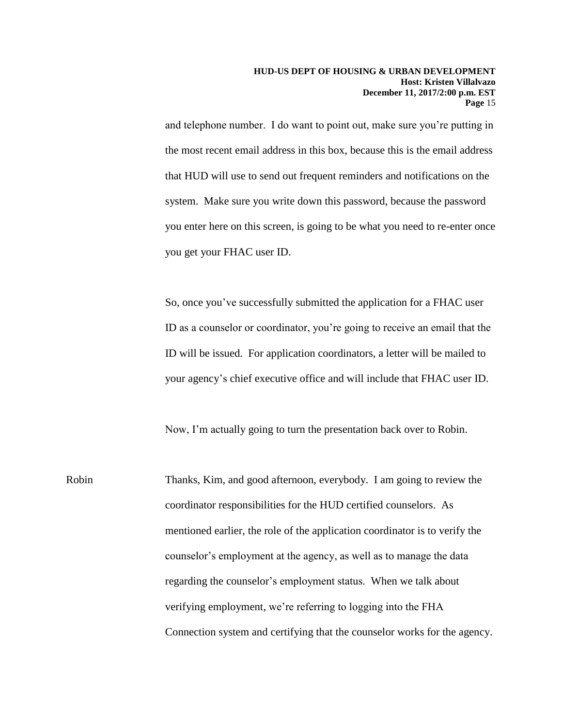and telephone number. I do want to point out, make sure you're putting in the most recent email address in this box, because this is the email address that HUD will use to send out frequent reminders and notifications on the system. Make sure you write down this password, because the password you enter here on this screen, is going to be what you need to re-enter once you get your FHAC user ID.

So, once you've successfully submitted the application for a FHAC user ID as a counselor or coordinator, you're going to receive an email that the ID will be issued. For application coordinators, a letter will be mailed to your agency's chief executive office and will include that FHAC user ID.

Now, I'm actually going to turn the presentation back over to Robin.

Robin Thanks, Kim, and good afternoon, everybody. I am going to review the coordinator responsibilities for the HUD certified counselors. As mentioned earlier, the role of the application coordinator is to verify the counselor's employment at the agency, as well as to manage the data regarding the counselor's employment status. When we talk about verifying employment, we're referring to logging into the FHA Connection system and certifying that the counselor works for the agency.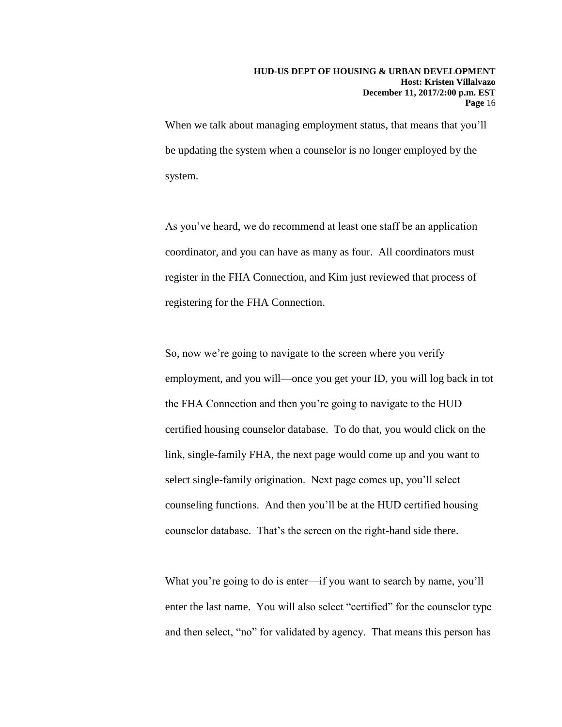When we talk about managing employment status, that means that you'll be updating the system when a counselor is no longer employed by the system.

As you've heard, we do recommend at least one staff be an application coordinator, and you can have as many as four. All coordinators must register in the FHA Connection, and Kim just reviewed that process of registering for the FHA Connection.

So, now we're going to navigate to the screen where you verify employment, and you will—once you get your ID, you will log back in tot the FHA Connection and then you're going to navigate to the HUD certified housing counselor database. To do that, you would click on the link, single-family FHA, the next page would come up and you want to select single-family origination. Next page comes up, you'll select counseling functions. And then you'll be at the HUD certified housing counselor database. That's the screen on the right-hand side there.

What you're going to do is enter—if you want to search by name, you'll enter the last name. You will also select "certified" for the counselor type and then select, "no" for validated by agency. That means this person has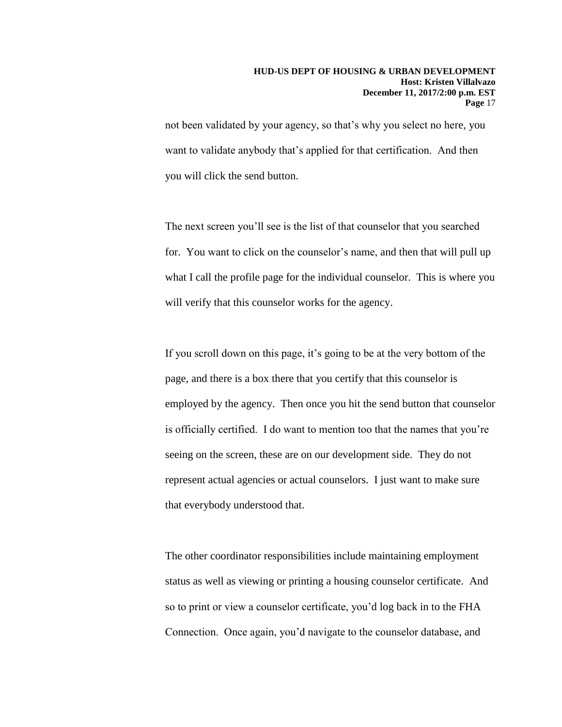not been validated by your agency, so that's why you select no here, you want to validate anybody that's applied for that certification. And then you will click the send button.

The next screen you'll see is the list of that counselor that you searched for. You want to click on the counselor's name, and then that will pull up what I call the profile page for the individual counselor. This is where you will verify that this counselor works for the agency.

If you scroll down on this page, it's going to be at the very bottom of the page, and there is a box there that you certify that this counselor is employed by the agency. Then once you hit the send button that counselor is officially certified. I do want to mention too that the names that you're seeing on the screen, these are on our development side. They do not represent actual agencies or actual counselors. I just want to make sure that everybody understood that.

The other coordinator responsibilities include maintaining employment status as well as viewing or printing a housing counselor certificate. And so to print or view a counselor certificate, you'd log back in to the FHA Connection. Once again, you'd navigate to the counselor database, and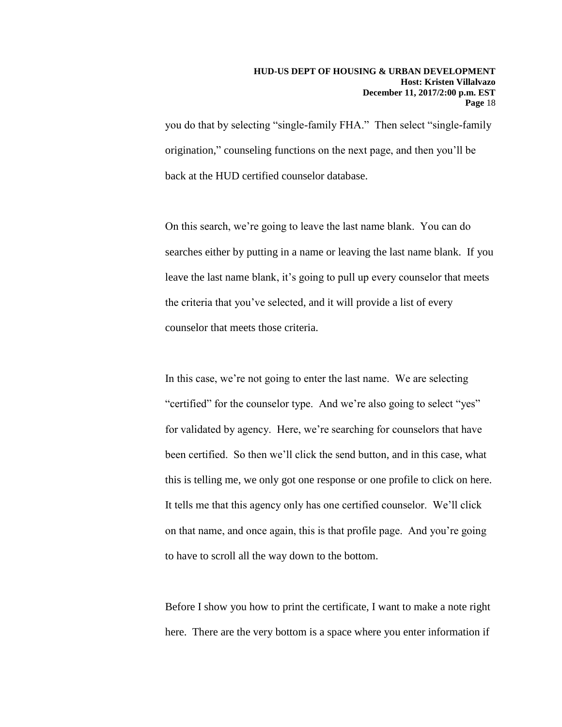you do that by selecting "single-family FHA." Then select "single-family origination," counseling functions on the next page, and then you'll be back at the HUD certified counselor database.

On this search, we're going to leave the last name blank. You can do searches either by putting in a name or leaving the last name blank. If you leave the last name blank, it's going to pull up every counselor that meets the criteria that you've selected, and it will provide a list of every counselor that meets those criteria.

In this case, we're not going to enter the last name. We are selecting "certified" for the counselor type. And we're also going to select "yes" for validated by agency. Here, we're searching for counselors that have been certified. So then we'll click the send button, and in this case, what this is telling me, we only got one response or one profile to click on here. It tells me that this agency only has one certified counselor. We'll click on that name, and once again, this is that profile page. And you're going to have to scroll all the way down to the bottom.

Before I show you how to print the certificate, I want to make a note right here. There are the very bottom is a space where you enter information if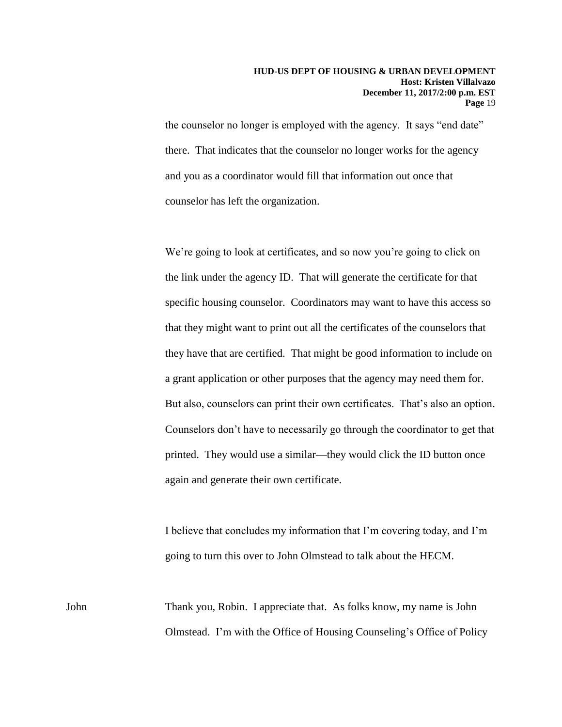the counselor no longer is employed with the agency. It says "end date" there. That indicates that the counselor no longer works for the agency and you as a coordinator would fill that information out once that counselor has left the organization.

We're going to look at certificates, and so now you're going to click on the link under the agency ID. That will generate the certificate for that specific housing counselor. Coordinators may want to have this access so that they might want to print out all the certificates of the counselors that they have that are certified. That might be good information to include on a grant application or other purposes that the agency may need them for. But also, counselors can print their own certificates. That's also an option. Counselors don't have to necessarily go through the coordinator to get that printed. They would use a similar—they would click the ID button once again and generate their own certificate.

I believe that concludes my information that I'm covering today, and I'm going to turn this over to John Olmstead to talk about the HECM.

John Thank you, Robin. I appreciate that. As folks know, my name is John Olmstead. I'm with the Office of Housing Counseling's Office of Policy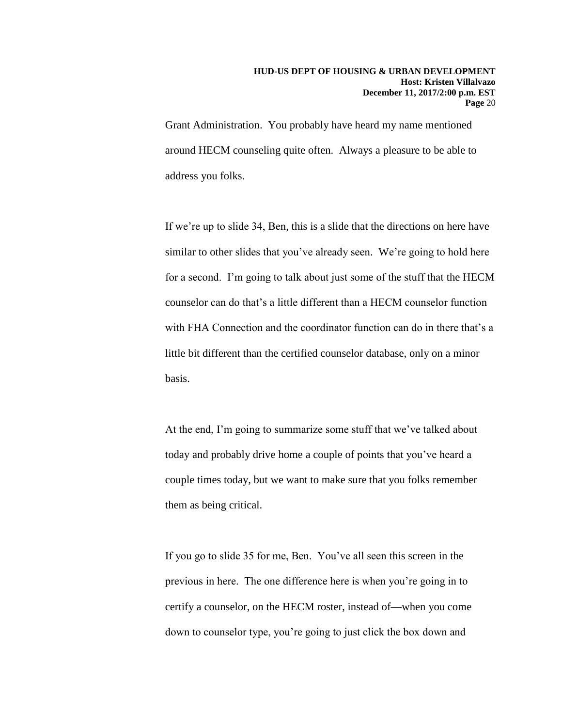Grant Administration. You probably have heard my name mentioned around HECM counseling quite often. Always a pleasure to be able to address you folks.

If we're up to slide 34, Ben, this is a slide that the directions on here have similar to other slides that you've already seen. We're going to hold here for a second. I'm going to talk about just some of the stuff that the HECM counselor can do that's a little different than a HECM counselor function with FHA Connection and the coordinator function can do in there that's a little bit different than the certified counselor database, only on a minor basis.

At the end, I'm going to summarize some stuff that we've talked about today and probably drive home a couple of points that you've heard a couple times today, but we want to make sure that you folks remember them as being critical.

If you go to slide 35 for me, Ben. You've all seen this screen in the previous in here. The one difference here is when you're going in to certify a counselor, on the HECM roster, instead of—when you come down to counselor type, you're going to just click the box down and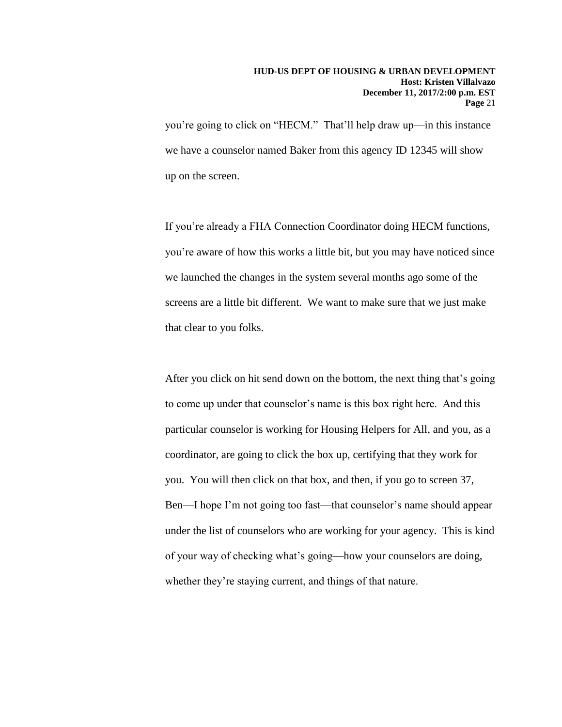you're going to click on "HECM." That'll help draw up—in this instance we have a counselor named Baker from this agency ID 12345 will show up on the screen.

If you're already a FHA Connection Coordinator doing HECM functions, you're aware of how this works a little bit, but you may have noticed since we launched the changes in the system several months ago some of the screens are a little bit different. We want to make sure that we just make that clear to you folks.

After you click on hit send down on the bottom, the next thing that's going to come up under that counselor's name is this box right here. And this particular counselor is working for Housing Helpers for All, and you, as a coordinator, are going to click the box up, certifying that they work for you. You will then click on that box, and then, if you go to screen 37, Ben—I hope I'm not going too fast—that counselor's name should appear under the list of counselors who are working for your agency. This is kind of your way of checking what's going—how your counselors are doing, whether they're staying current, and things of that nature.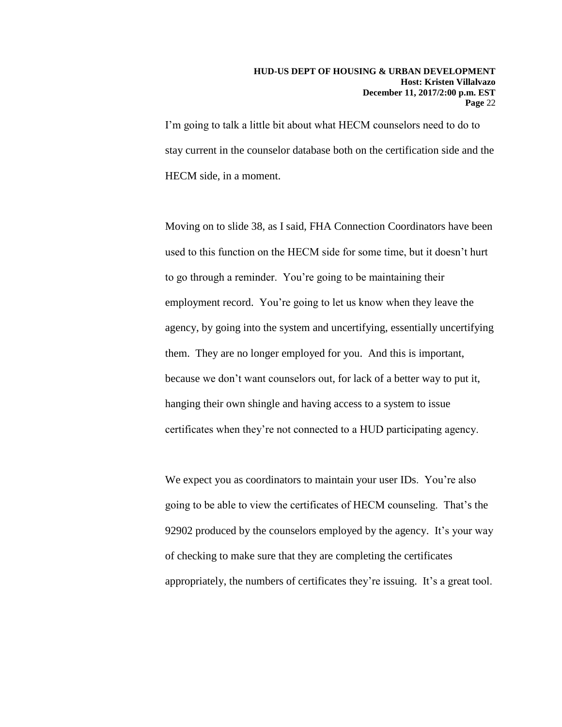#### **HUD-US DEPT OF HOUSING & URBAN DEVELOPMENT Host: Kristen Villalvazo December 11, 2017/2:00 p.m. EST Page** 22

I'm going to talk a little bit about what HECM counselors need to do to stay current in the counselor database both on the certification side and the HECM side, in a moment.

Moving on to slide 38, as I said, FHA Connection Coordinators have been used to this function on the HECM side for some time, but it doesn't hurt to go through a reminder. You're going to be maintaining their employment record. You're going to let us know when they leave the agency, by going into the system and uncertifying, essentially uncertifying them. They are no longer employed for you. And this is important, because we don't want counselors out, for lack of a better way to put it, hanging their own shingle and having access to a system to issue certificates when they're not connected to a HUD participating agency.

We expect you as coordinators to maintain your user IDs. You're also going to be able to view the certificates of HECM counseling. That's the 92902 produced by the counselors employed by the agency. It's your way of checking to make sure that they are completing the certificates appropriately, the numbers of certificates they're issuing. It's a great tool.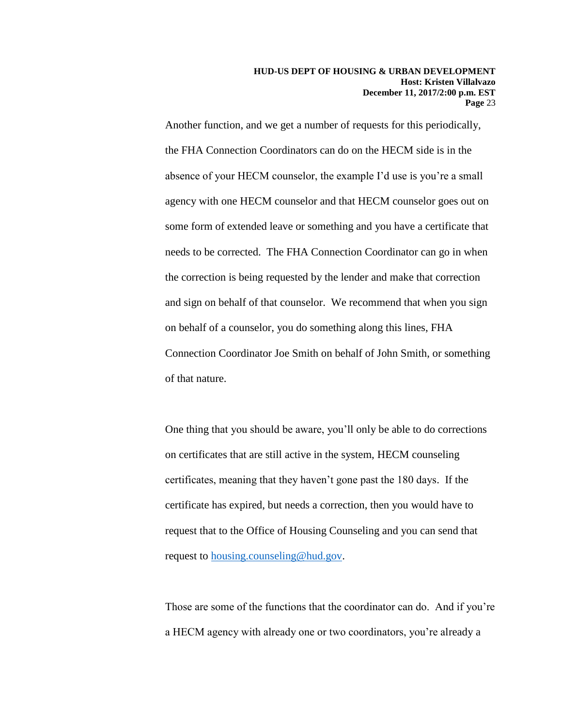Another function, and we get a number of requests for this periodically, the FHA Connection Coordinators can do on the HECM side is in the absence of your HECM counselor, the example I'd use is you're a small agency with one HECM counselor and that HECM counselor goes out on some form of extended leave or something and you have a certificate that needs to be corrected. The FHA Connection Coordinator can go in when the correction is being requested by the lender and make that correction and sign on behalf of that counselor. We recommend that when you sign on behalf of a counselor, you do something along this lines, FHA Connection Coordinator Joe Smith on behalf of John Smith, or something of that nature.

One thing that you should be aware, you'll only be able to do corrections on certificates that are still active in the system, HECM counseling certificates, meaning that they haven't gone past the 180 days. If the certificate has expired, but needs a correction, then you would have to request that to the Office of Housing Counseling and you can send that request to [housing.counseling@hud.gov.](mailto:housing.counseling@hud.gov)

Those are some of the functions that the coordinator can do. And if you're a HECM agency with already one or two coordinators, you're already a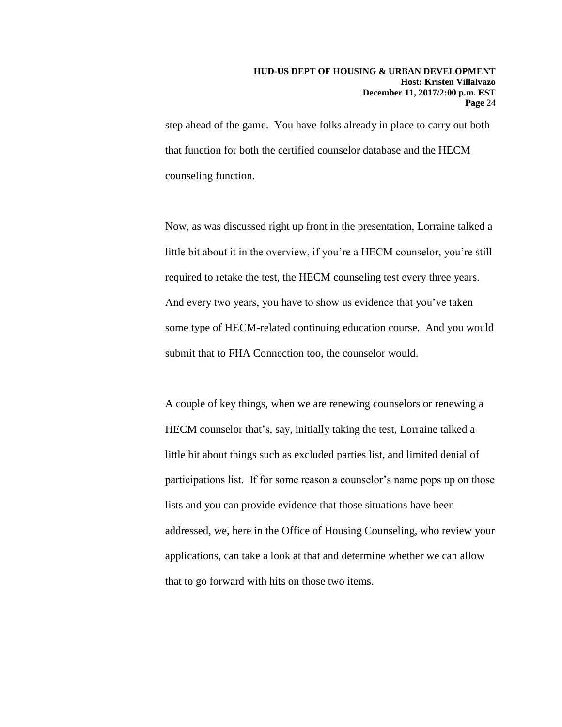step ahead of the game. You have folks already in place to carry out both that function for both the certified counselor database and the HECM counseling function.

Now, as was discussed right up front in the presentation, Lorraine talked a little bit about it in the overview, if you're a HECM counselor, you're still required to retake the test, the HECM counseling test every three years. And every two years, you have to show us evidence that you've taken some type of HECM-related continuing education course. And you would submit that to FHA Connection too, the counselor would.

A couple of key things, when we are renewing counselors or renewing a HECM counselor that's, say, initially taking the test, Lorraine talked a little bit about things such as excluded parties list, and limited denial of participations list. If for some reason a counselor's name pops up on those lists and you can provide evidence that those situations have been addressed, we, here in the Office of Housing Counseling, who review your applications, can take a look at that and determine whether we can allow that to go forward with hits on those two items.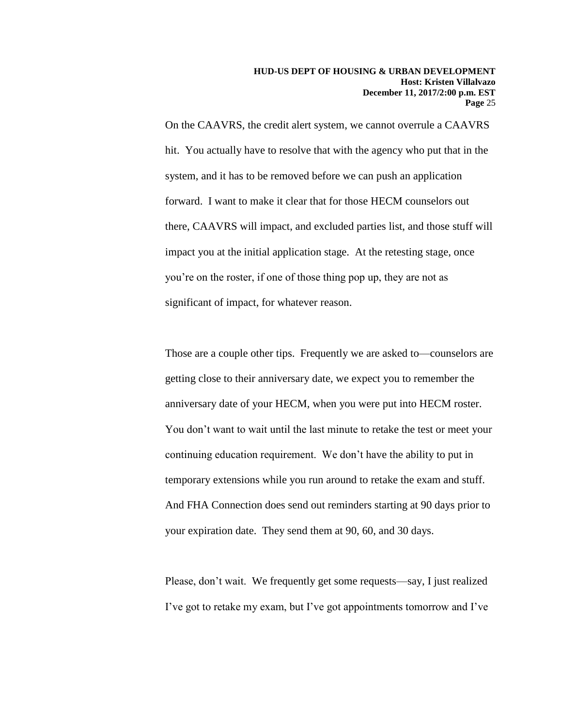On the CAAVRS, the credit alert system, we cannot overrule a CAAVRS hit. You actually have to resolve that with the agency who put that in the system, and it has to be removed before we can push an application forward. I want to make it clear that for those HECM counselors out there, CAAVRS will impact, and excluded parties list, and those stuff will impact you at the initial application stage. At the retesting stage, once you're on the roster, if one of those thing pop up, they are not as significant of impact, for whatever reason.

Those are a couple other tips. Frequently we are asked to—counselors are getting close to their anniversary date, we expect you to remember the anniversary date of your HECM, when you were put into HECM roster. You don't want to wait until the last minute to retake the test or meet your continuing education requirement. We don't have the ability to put in temporary extensions while you run around to retake the exam and stuff. And FHA Connection does send out reminders starting at 90 days prior to your expiration date. They send them at 90, 60, and 30 days.

Please, don't wait. We frequently get some requests—say, I just realized I've got to retake my exam, but I've got appointments tomorrow and I've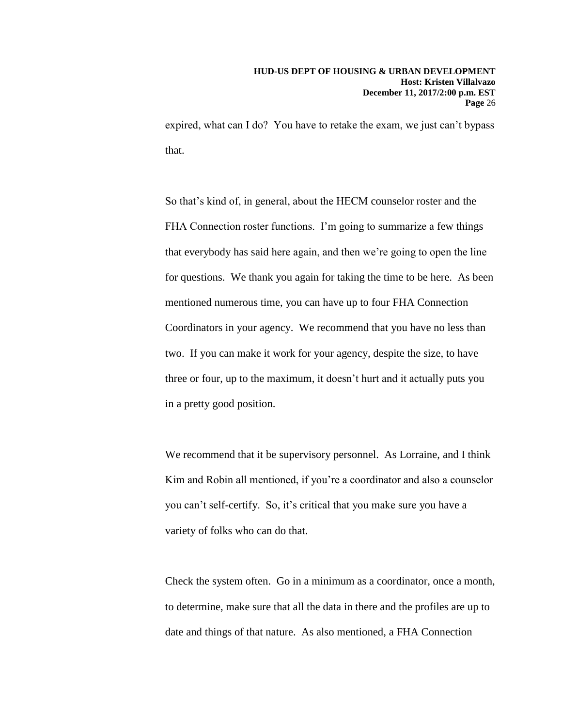expired, what can I do? You have to retake the exam, we just can't bypass that.

So that's kind of, in general, about the HECM counselor roster and the FHA Connection roster functions. I'm going to summarize a few things that everybody has said here again, and then we're going to open the line for questions. We thank you again for taking the time to be here. As been mentioned numerous time, you can have up to four FHA Connection Coordinators in your agency. We recommend that you have no less than two. If you can make it work for your agency, despite the size, to have three or four, up to the maximum, it doesn't hurt and it actually puts you in a pretty good position.

We recommend that it be supervisory personnel. As Lorraine, and I think Kim and Robin all mentioned, if you're a coordinator and also a counselor you can't self-certify. So, it's critical that you make sure you have a variety of folks who can do that.

Check the system often. Go in a minimum as a coordinator, once a month, to determine, make sure that all the data in there and the profiles are up to date and things of that nature. As also mentioned, a FHA Connection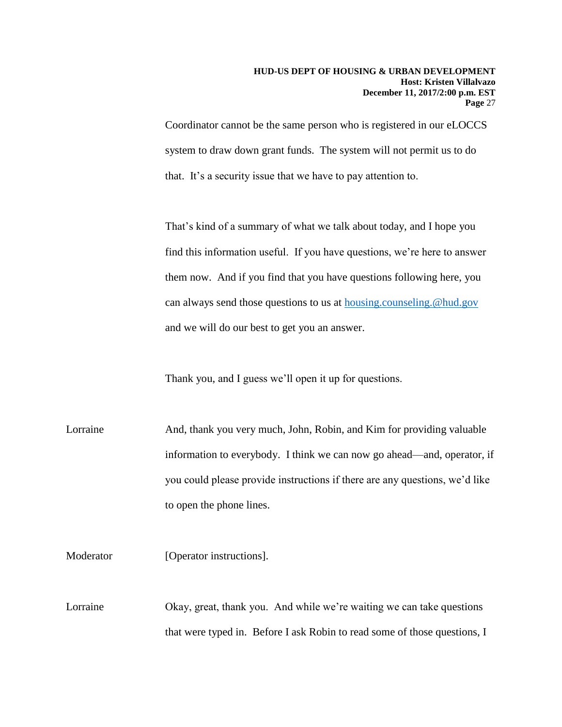Coordinator cannot be the same person who is registered in our eLOCCS system to draw down grant funds. The system will not permit us to do that. It's a security issue that we have to pay attention to.

That's kind of a summary of what we talk about today, and I hope you find this information useful. If you have questions, we're here to answer them now. And if you find that you have questions following here, you can always send those questions to us at [housing.counseling.@hud.gov](mailto:housing.counseling.@hud.gov) and we will do our best to get you an answer.

Thank you, and I guess we'll open it up for questions.

Lorraine And, thank you very much, John, Robin, and Kim for providing valuable information to everybody. I think we can now go ahead—and, operator, if you could please provide instructions if there are any questions, we'd like to open the phone lines.

Moderator [Operator instructions].

Lorraine Okay, great, thank you. And while we're waiting we can take questions that were typed in. Before I ask Robin to read some of those questions, I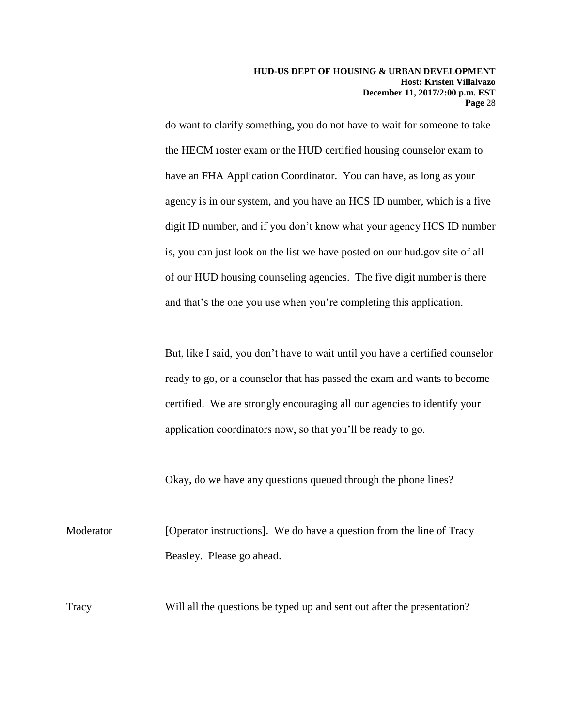do want to clarify something, you do not have to wait for someone to take the HECM roster exam or the HUD certified housing counselor exam to have an FHA Application Coordinator. You can have, as long as your agency is in our system, and you have an HCS ID number, which is a five digit ID number, and if you don't know what your agency HCS ID number is, you can just look on the list we have posted on our hud.gov site of all of our HUD housing counseling agencies. The five digit number is there and that's the one you use when you're completing this application.

But, like I said, you don't have to wait until you have a certified counselor ready to go, or a counselor that has passed the exam and wants to become certified. We are strongly encouraging all our agencies to identify your application coordinators now, so that you'll be ready to go.

Okay, do we have any questions queued through the phone lines?

Moderator [Operator instructions]. We do have a question from the line of Tracy Beasley. Please go ahead.

Tracy Will all the questions be typed up and sent out after the presentation?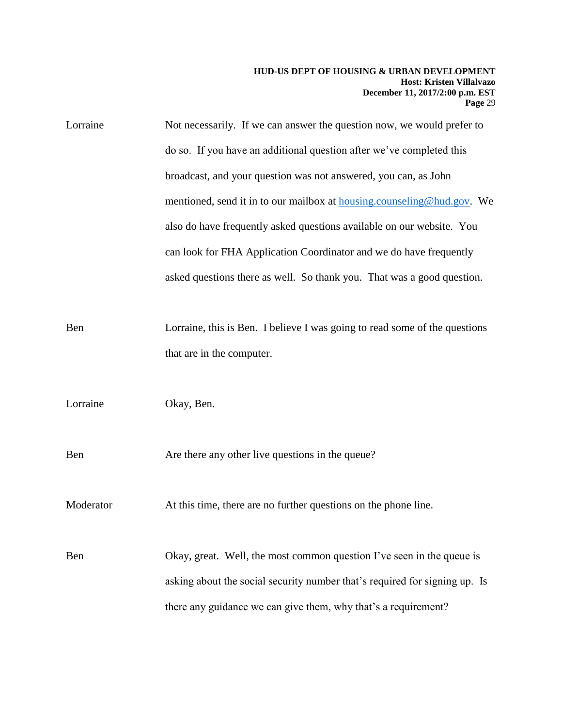| Lorraine  | Not necessarily. If we can answer the question now, we would prefer to         |
|-----------|--------------------------------------------------------------------------------|
|           | do so. If you have an additional question after we've completed this           |
|           | broadcast, and your question was not answered, you can, as John                |
|           | mentioned, send it in to our mailbox at <b>housing.counseling@hud.gov</b> . We |
|           | also do have frequently asked questions available on our website. You          |
|           | can look for FHA Application Coordinator and we do have frequently             |
|           | asked questions there as well. So thank you. That was a good question.         |
| Ben       | Lorraine, this is Ben. I believe I was going to read some of the questions     |
|           | that are in the computer.                                                      |
| Lorraine  | Okay, Ben.                                                                     |
| Ben       | Are there any other live questions in the queue?                               |
| Moderator | At this time, there are no further questions on the phone line.                |
| Ben       | Okay, great. Well, the most common question I've seen in the queue is          |
|           | asking about the social security number that's required for signing up. Is     |
|           | there any guidance we can give them, why that's a requirement?                 |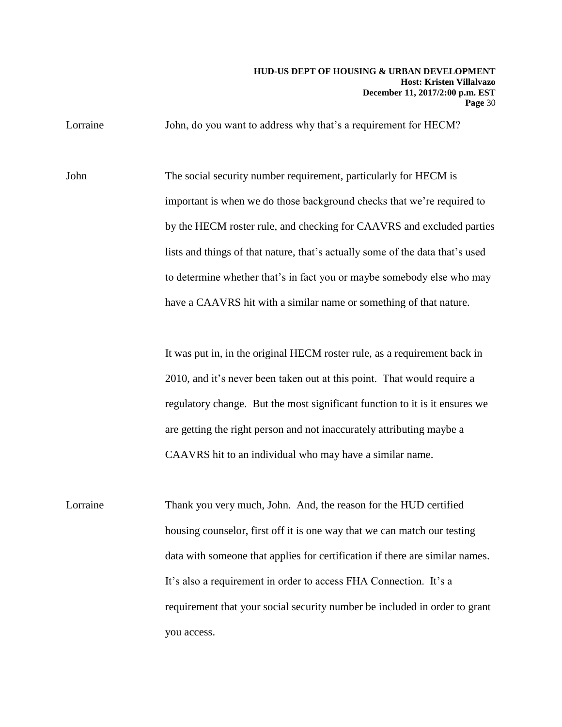#### **HUD-US DEPT OF HOUSING & URBAN DEVELOPMENT Host: Kristen Villalvazo December 11, 2017/2:00 p.m. EST Page** 30

Lorraine John, do you want to address why that's a requirement for HECM?

John The social security number requirement, particularly for HECM is important is when we do those background checks that we're required to by the HECM roster rule, and checking for CAAVRS and excluded parties lists and things of that nature, that's actually some of the data that's used to determine whether that's in fact you or maybe somebody else who may have a CAAVRS hit with a similar name or something of that nature.

> It was put in, in the original HECM roster rule, as a requirement back in 2010, and it's never been taken out at this point. That would require a regulatory change. But the most significant function to it is it ensures we are getting the right person and not inaccurately attributing maybe a CAAVRS hit to an individual who may have a similar name.

Lorraine Thank you very much, John. And, the reason for the HUD certified housing counselor, first off it is one way that we can match our testing data with someone that applies for certification if there are similar names. It's also a requirement in order to access FHA Connection. It's a requirement that your social security number be included in order to grant you access.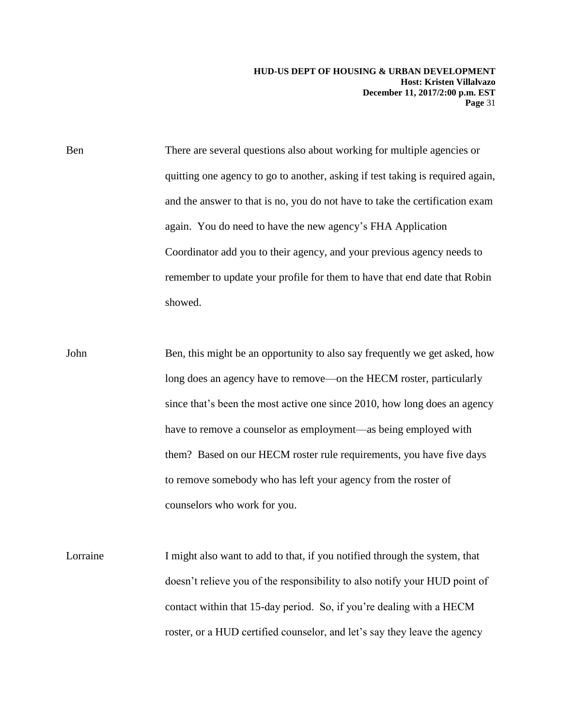**HUD-US DEPT OF HOUSING & URBAN DEVELOPMENT Host: Kristen Villalvazo December 11, 2017/2:00 p.m. EST Page** 31

Ben There are several questions also about working for multiple agencies or quitting one agency to go to another, asking if test taking is required again, and the answer to that is no, you do not have to take the certification exam again. You do need to have the new agency's FHA Application Coordinator add you to their agency, and your previous agency needs to remember to update your profile for them to have that end date that Robin showed.

John Ben, this might be an opportunity to also say frequently we get asked, how long does an agency have to remove—on the HECM roster, particularly since that's been the most active one since 2010, how long does an agency have to remove a counselor as employment—as being employed with them? Based on our HECM roster rule requirements, you have five days to remove somebody who has left your agency from the roster of counselors who work for you.

Lorraine I might also want to add to that, if you notified through the system, that doesn't relieve you of the responsibility to also notify your HUD point of contact within that 15-day period. So, if you're dealing with a HECM roster, or a HUD certified counselor, and let's say they leave the agency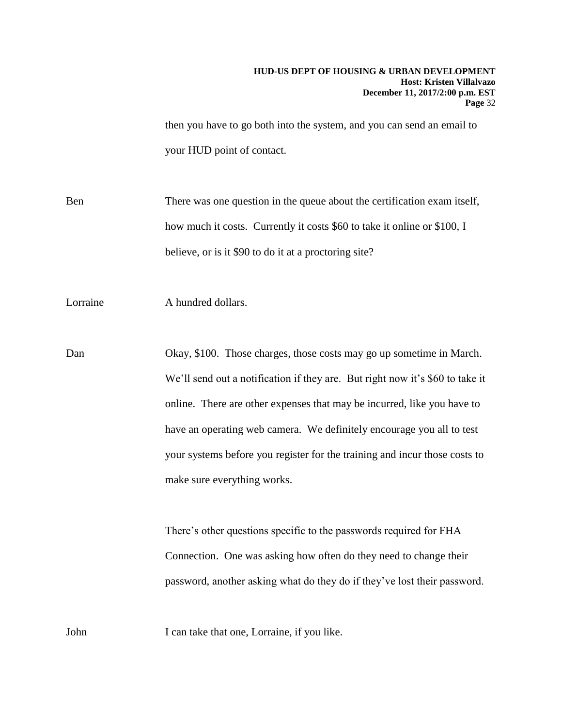then you have to go both into the system, and you can send an email to your HUD point of contact.

Ben There was one question in the queue about the certification exam itself, how much it costs. Currently it costs \$60 to take it online or \$100, I believe, or is it \$90 to do it at a proctoring site?

Lorraine A hundred dollars.

Dan Okay, \$100. Those charges, those costs may go up sometime in March. We'll send out a notification if they are. But right now it's \$60 to take it online. There are other expenses that may be incurred, like you have to have an operating web camera. We definitely encourage you all to test your systems before you register for the training and incur those costs to make sure everything works.

> There's other questions specific to the passwords required for FHA Connection. One was asking how often do they need to change their password, another asking what do they do if they've lost their password.

John I can take that one, Lorraine, if you like.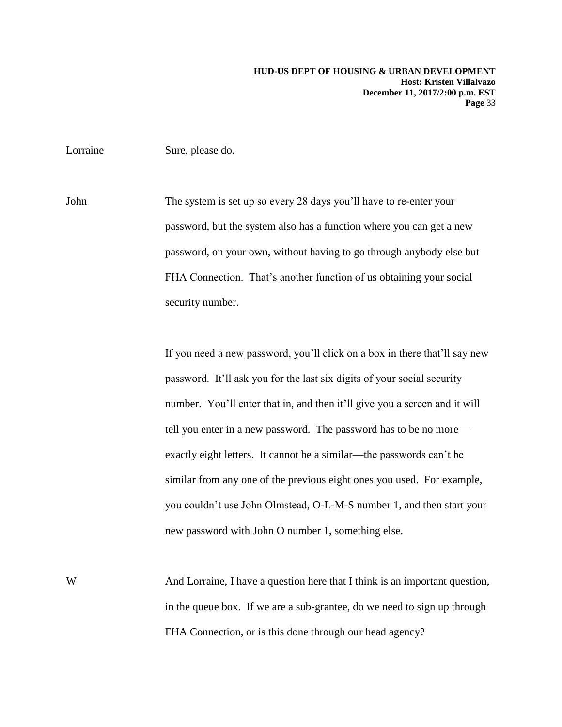Lorraine Sure, please do.

John The system is set up so every 28 days you'll have to re-enter your password, but the system also has a function where you can get a new password, on your own, without having to go through anybody else but FHA Connection. That's another function of us obtaining your social security number.

> If you need a new password, you'll click on a box in there that'll say new password. It'll ask you for the last six digits of your social security number. You'll enter that in, and then it'll give you a screen and it will tell you enter in a new password. The password has to be no more exactly eight letters. It cannot be a similar—the passwords can't be similar from any one of the previous eight ones you used. For example, you couldn't use John Olmstead, O-L-M-S number 1, and then start your new password with John O number 1, something else.

W And Lorraine, I have a question here that I think is an important question, in the queue box. If we are a sub-grantee, do we need to sign up through FHA Connection, or is this done through our head agency?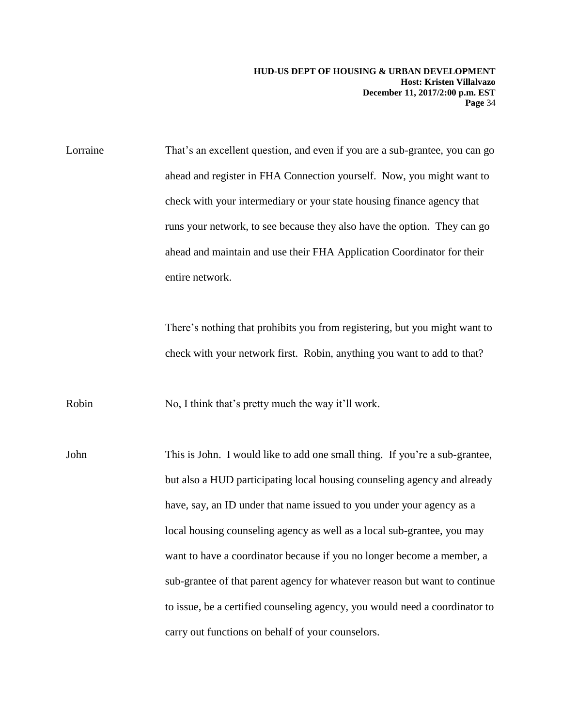Lorraine That's an excellent question, and even if you are a sub-grantee, you can go ahead and register in FHA Connection yourself. Now, you might want to check with your intermediary or your state housing finance agency that runs your network, to see because they also have the option. They can go ahead and maintain and use their FHA Application Coordinator for their entire network.

> There's nothing that prohibits you from registering, but you might want to check with your network first. Robin, anything you want to add to that?

Robin No, I think that's pretty much the way it'll work.

John This is John. I would like to add one small thing. If you're a sub-grantee, but also a HUD participating local housing counseling agency and already have, say, an ID under that name issued to you under your agency as a local housing counseling agency as well as a local sub-grantee, you may want to have a coordinator because if you no longer become a member, a sub-grantee of that parent agency for whatever reason but want to continue to issue, be a certified counseling agency, you would need a coordinator to carry out functions on behalf of your counselors.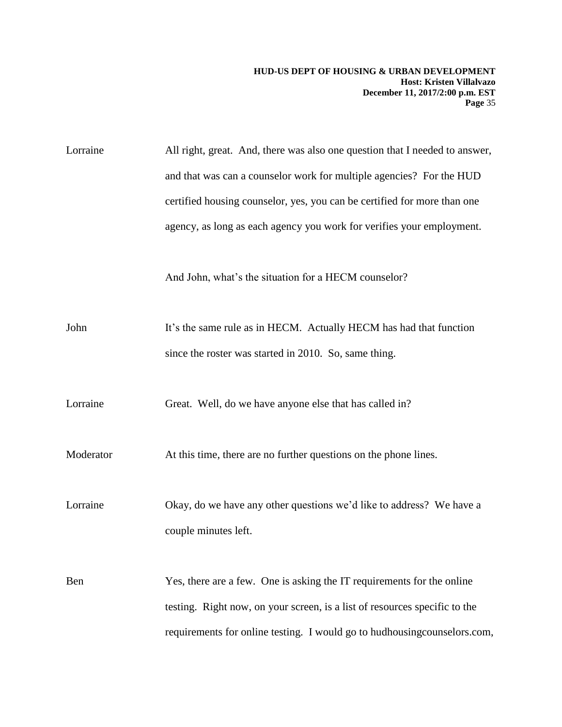Lorraine All right, great. And, there was also one question that I needed to answer, and that was can a counselor work for multiple agencies? For the HUD certified housing counselor, yes, you can be certified for more than one agency, as long as each agency you work for verifies your employment. And John, what's the situation for a HECM counselor? John It's the same rule as in HECM. Actually HECM has had that function since the roster was started in 2010. So, same thing. Lorraine Great. Well, do we have anyone else that has called in? Moderator At this time, there are no further questions on the phone lines. Lorraine Okay, do we have any other questions we'd like to address? We have a couple minutes left. Ben Yes, there are a few. One is asking the IT requirements for the online testing. Right now, on your screen, is a list of resources specific to the requirements for online testing. I would go to hudhousingcounselors.com,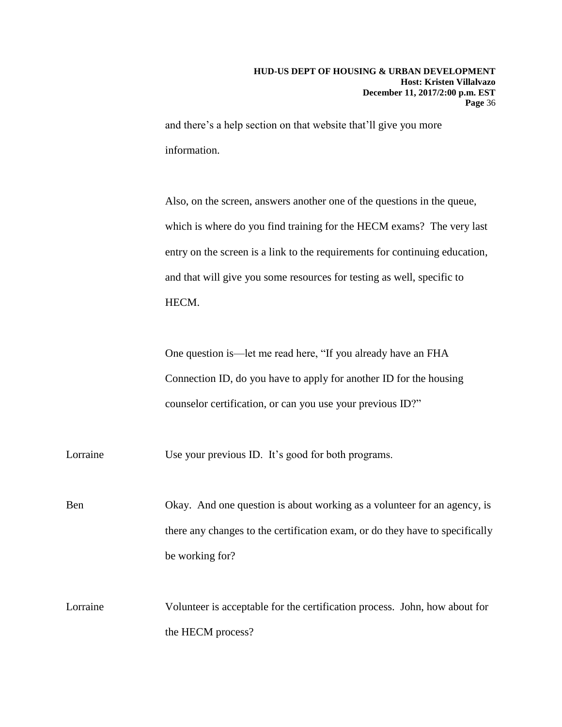and there's a help section on that website that'll give you more information.

Also, on the screen, answers another one of the questions in the queue, which is where do you find training for the HECM exams? The very last entry on the screen is a link to the requirements for continuing education, and that will give you some resources for testing as well, specific to HECM.

One question is—let me read here, "If you already have an FHA Connection ID, do you have to apply for another ID for the housing counselor certification, or can you use your previous ID?"

Lorraine Use your previous ID. It's good for both programs.

Ben Okay. And one question is about working as a volunteer for an agency, is there any changes to the certification exam, or do they have to specifically be working for?

Lorraine Volunteer is acceptable for the certification process. John, how about for the HECM process?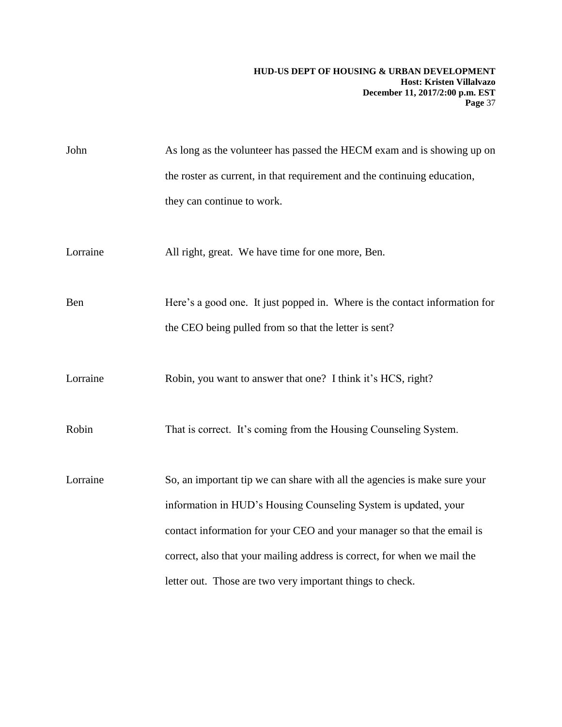| John     | As long as the volunteer has passed the HECM exam and is showing up on     |
|----------|----------------------------------------------------------------------------|
|          | the roster as current, in that requirement and the continuing education,   |
|          | they can continue to work.                                                 |
|          |                                                                            |
| Lorraine | All right, great. We have time for one more, Ben.                          |
|          |                                                                            |
| Ben      | Here's a good one. It just popped in. Where is the contact information for |
|          | the CEO being pulled from so that the letter is sent?                      |
|          |                                                                            |
| Lorraine | Robin, you want to answer that one? I think it's HCS, right?               |
|          |                                                                            |
| Robin    | That is correct. It's coming from the Housing Counseling System.           |
|          |                                                                            |
| Lorraine | So, an important tip we can share with all the agencies is make sure your  |
|          | information in HUD's Housing Counseling System is updated, your            |
|          | contact information for your CEO and your manager so that the email is     |
|          | correct, also that your mailing address is correct, for when we mail the   |
|          | letter out. Those are two very important things to check.                  |